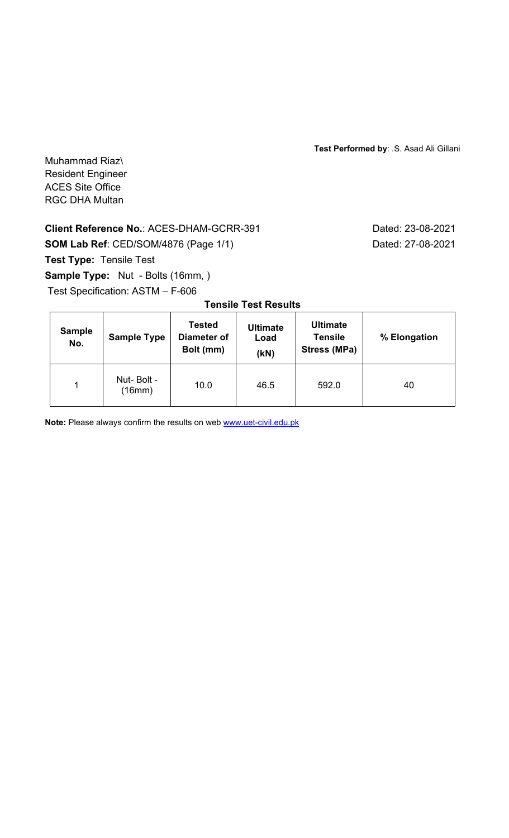**Test Performed by**: .S. Asad Ali Gillani

Muhammad Riaz\ Resident Engineer ACES Site Office RGC DHA Multan

# **Client Reference No.: ACES-DHAM-GCRR-391** Dated: 23-08-2021

**SOM Lab Ref**: CED/SOM/4876 (Page 1/1) Dated: 27-08-2021

**Test Type:** Tensile Test

Sample Type: Nut - Bolts (16mm, )

Test Specification: ASTM – F-606

| <b>Sample</b><br>No. | <b>Sample Type</b>   | <b>Tested</b><br>Diameter of<br>Bolt (mm) | <b>Ultimate</b><br>Load<br>(kN) | <b>Ultimate</b><br><b>Tensile</b><br>Stress (MPa) | % Elongation |
|----------------------|----------------------|-------------------------------------------|---------------------------------|---------------------------------------------------|--------------|
| 1                    | Nut-Bolt -<br>(16mm) | 10.0                                      | 46.5                            | 592.0                                             | 40           |

## **Tensile Test Results**

**Note:** Please always confirm the results on web **www.uet-civil.edu.pk**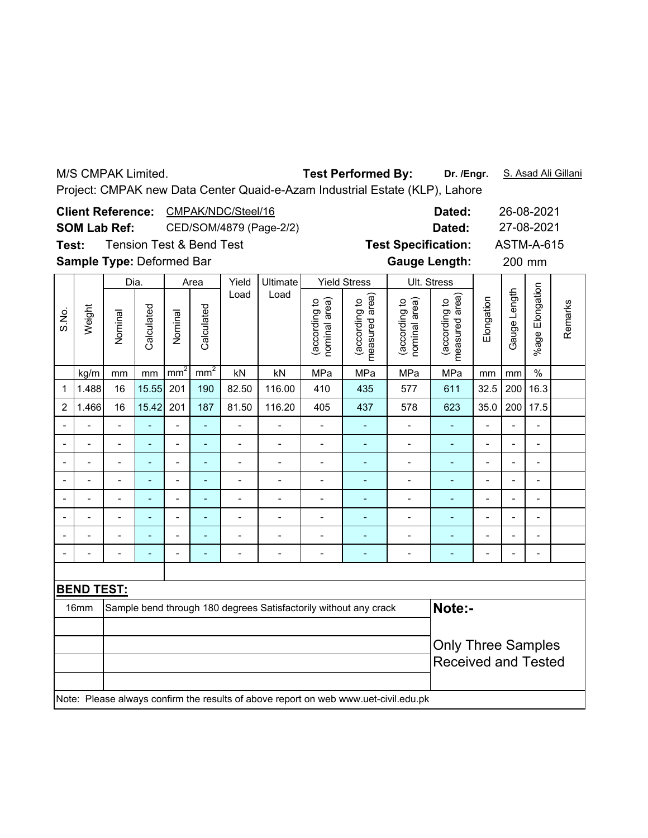| <b>Test Performed By:</b><br>Dr. /Engr.<br>S. Asad Ali Gillani<br>M/S CMPAK Limited.<br>Project: CMPAK new Data Center Quaid-e-Azam Industrial Estate (KLP), Lahore |                                                              |                                                                                                                                                |            |                              |                                     |                              |                          |                                |                                 |                                |                                 |                          |                |                          |         |  |  |
|---------------------------------------------------------------------------------------------------------------------------------------------------------------------|--------------------------------------------------------------|------------------------------------------------------------------------------------------------------------------------------------------------|------------|------------------------------|-------------------------------------|------------------------------|--------------------------|--------------------------------|---------------------------------|--------------------------------|---------------------------------|--------------------------|----------------|--------------------------|---------|--|--|
|                                                                                                                                                                     | CMPAK/NDC/Steel/16<br><b>Client Reference:</b><br>26-08-2021 |                                                                                                                                                |            |                              |                                     |                              |                          |                                |                                 |                                |                                 |                          |                |                          |         |  |  |
|                                                                                                                                                                     |                                                              |                                                                                                                                                |            |                              |                                     |                              |                          |                                |                                 |                                | Dated:                          |                          |                |                          |         |  |  |
|                                                                                                                                                                     |                                                              | <b>SOM Lab Ref:</b>                                                                                                                            |            |                              |                                     |                              | CED/SOM/4879 (Page-2/2)  | Dated:                         |                                 |                                |                                 |                          | 27-08-2021     |                          |         |  |  |
| Test:                                                                                                                                                               |                                                              |                                                                                                                                                |            |                              | <b>Tension Test &amp; Bend Test</b> |                              |                          |                                |                                 | <b>Test Specification:</b>     |                                 |                          |                | <b>ASTM-A-615</b>        |         |  |  |
|                                                                                                                                                                     | Sample Type: Deformed Bar                                    | <b>Gauge Length:</b>                                                                                                                           |            |                              | 200 mm                              |                              |                          |                                |                                 |                                |                                 |                          |                |                          |         |  |  |
|                                                                                                                                                                     |                                                              | Dia.                                                                                                                                           |            |                              | Area                                | Yield                        | <b>Ultimate</b>          |                                | <b>Yield Stress</b>             |                                | Ult. Stress                     |                          |                |                          |         |  |  |
| S.No.                                                                                                                                                               | Weight                                                       | Nominal                                                                                                                                        | Calculated | Nominal                      | Calculated                          | Load                         | Load                     | (according to<br>nominal area) | (according to<br>measured area) | (according to<br>nominal area) | (according to<br>measured area) | Elongation               | Gauge Length   | %age Elongation          | Remarks |  |  |
|                                                                                                                                                                     | kg/m                                                         | mm                                                                                                                                             | mm         | mm <sup>2</sup>              | mm <sup>2</sup>                     | kN                           | kN                       | MPa                            | MPa                             | MPa                            | MPa                             | mm                       | mm             | $\frac{1}{2}$            |         |  |  |
| $\mathbf 1$                                                                                                                                                         | 1.488                                                        | 16                                                                                                                                             | 15.55      | 201                          | 190                                 | 82.50                        | 116.00                   | 410                            | 435                             | 577                            | 611                             | 32.5                     | 200            | 16.3                     |         |  |  |
| $\overline{2}$                                                                                                                                                      | 1.466                                                        | 16                                                                                                                                             | 15.42      | 201                          | 187                                 | 81.50                        | 116.20                   | 405                            | 437                             | 578                            | 623                             | 35.0                     | 200            | 17.5                     |         |  |  |
|                                                                                                                                                                     |                                                              |                                                                                                                                                |            |                              |                                     |                              |                          |                                |                                 |                                |                                 |                          |                |                          |         |  |  |
|                                                                                                                                                                     |                                                              |                                                                                                                                                |            | $\overline{a}$               |                                     | $\overline{a}$               |                          | $\overline{a}$                 | $\overline{a}$                  | $\overline{a}$                 | ÷,                              | $\overline{a}$           | $\overline{a}$ |                          |         |  |  |
|                                                                                                                                                                     |                                                              | $\overline{\phantom{0}}$                                                                                                                       |            | $\blacksquare$               | ä,                                  | $\blacksquare$               | $\blacksquare$           | Ĭ.                             | $\overline{\phantom{a}}$        | $\overline{a}$                 | L,                              |                          |                | L,                       |         |  |  |
|                                                                                                                                                                     |                                                              | $\overline{\phantom{0}}$                                                                                                                       | ä,         | $\blacksquare$               | ÷,                                  | $\blacksquare$               | $\overline{\phantom{a}}$ | $\overline{\phantom{a}}$       | $\qquad \qquad \blacksquare$    | $\blacksquare$                 | ÷,                              | $\blacksquare$           | $\overline{a}$ | $\overline{\phantom{0}}$ |         |  |  |
|                                                                                                                                                                     |                                                              | $\blacksquare$                                                                                                                                 | ÷,         | $\overline{\phantom{a}}$     | ÷                                   | $\overline{a}$               |                          | Ĭ.                             | $\overline{a}$                  |                                |                                 | $\blacksquare$           | Ĭ.             | $\overline{\phantom{0}}$ |         |  |  |
|                                                                                                                                                                     |                                                              | $\qquad \qquad \blacksquare$                                                                                                                   | ÷,         | $\qquad \qquad \blacksquare$ | $\overline{\phantom{a}}$            | $\qquad \qquad \blacksquare$ | $\overline{a}$           | $\overline{\phantom{a}}$       | ۰                               | $\qquad \qquad \blacksquare$   | ÷,                              | $\overline{\phantom{0}}$ | $\overline{a}$ | $\overline{\phantom{0}}$ |         |  |  |
|                                                                                                                                                                     |                                                              | $\blacksquare$                                                                                                                                 |            | L,                           |                                     | Ĭ.                           |                          | $\overline{a}$                 |                                 |                                |                                 | $\overline{a}$           |                | L,                       |         |  |  |
|                                                                                                                                                                     |                                                              | $\overline{\phantom{0}}$                                                                                                                       |            | $\blacksquare$               | $\blacksquare$                      | $\blacksquare$               | $\blacksquare$           | $\blacksquare$                 | $\overline{a}$                  | $\blacksquare$                 | $\qquad \qquad \blacksquare$    | $\overline{a}$           |                | $\overline{a}$           |         |  |  |
|                                                                                                                                                                     |                                                              |                                                                                                                                                |            |                              |                                     |                              |                          |                                |                                 |                                |                                 |                          |                |                          |         |  |  |
|                                                                                                                                                                     | <b>BEND TEST:</b>                                            |                                                                                                                                                |            |                              |                                     |                              |                          |                                |                                 |                                |                                 |                          |                |                          |         |  |  |
|                                                                                                                                                                     | 16mm                                                         | Note:-<br>Sample bend through 180 degrees Satisfactorily without any crack                                                                     |            |                              |                                     |                              |                          |                                |                                 |                                |                                 |                          |                |                          |         |  |  |
|                                                                                                                                                                     |                                                              | <b>Only Three Samples</b><br><b>Received and Tested</b><br>Note: Please always confirm the results of above report on web www.uet-civil.edu.pk |            |                              |                                     |                              |                          |                                |                                 |                                |                                 |                          |                |                          |         |  |  |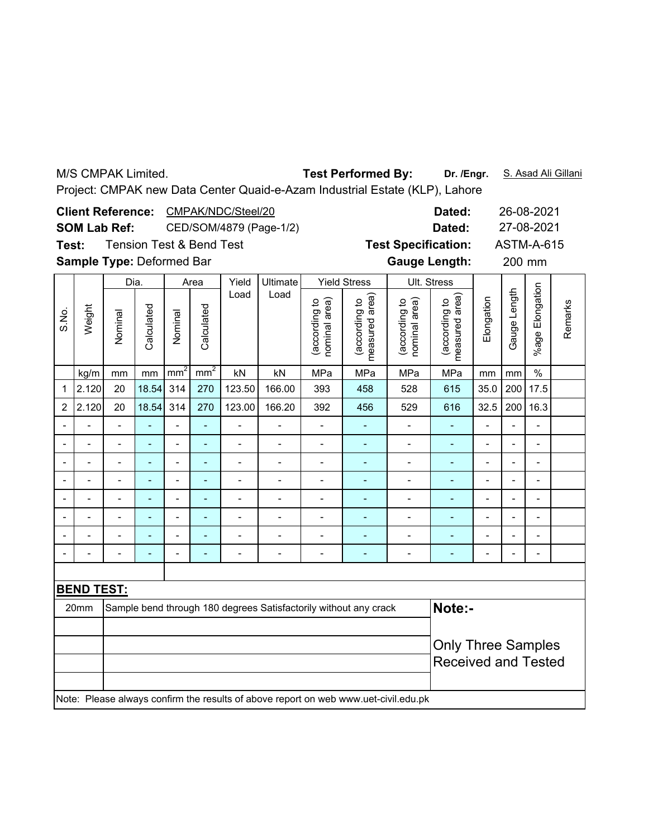|       | <b>Test Performed By:</b><br>Dr. /Engr.<br>S. Asad Ali Gillani<br>M/S CMPAK Limited.<br>Project: CMPAK new Data Center Quaid-e-Azam Industrial Estate (KLP), Lahore |                                                         |                          |                |                                     |                                               |                                                                  |                                                    |                                 |                                                                                     |                                 |                                                         |                |                          |         |
|-------|---------------------------------------------------------------------------------------------------------------------------------------------------------------------|---------------------------------------------------------|--------------------------|----------------|-------------------------------------|-----------------------------------------------|------------------------------------------------------------------|----------------------------------------------------|---------------------------------|-------------------------------------------------------------------------------------|---------------------------------|---------------------------------------------------------|----------------|--------------------------|---------|
| Test: | <b>Client Reference:</b><br><b>SOM Lab Ref:</b><br>Sample Type: Deformed Bar                                                                                        |                                                         |                          |                | <b>Tension Test &amp; Bend Test</b> | CMPAK/NDC/Steel/20<br>CED/SOM/4879 (Page-1/2) |                                                                  | <b>Test Specification:</b><br><b>Gauge Length:</b> | Dated:<br>Dated:                |                                                                                     |                                 | 26-08-2021<br>27-08-2021<br><b>ASTM-A-615</b><br>200 mm |                |                          |         |
|       |                                                                                                                                                                     | Dia.                                                    |                          |                | Area                                | Yield                                         | Ultimate                                                         |                                                    | <b>Yield Stress</b>             |                                                                                     | Ult. Stress                     |                                                         |                |                          |         |
| S.No. | Weight                                                                                                                                                              | Nominal                                                 | Calculated               | Nominal        | Calculated                          | Load                                          | Load                                                             | (according to<br>nominal area)                     | (according to<br>measured area) | (according to<br>nominal area)                                                      | (according to<br>measured area) | Elongation                                              | Gauge Length   | %age Elongation          | Remarks |
|       | kg/m                                                                                                                                                                | mm                                                      | mm                       | $mm^2$         | mm <sup>2</sup>                     | kN                                            | kN                                                               | MPa                                                | MPa                             | MPa                                                                                 | MPa                             | mm                                                      | mm             | $\frac{0}{0}$            |         |
| 1     | 2.120                                                                                                                                                               | 20                                                      | 18.54                    | 314            | 270                                 | 123.50                                        | 166.00                                                           | 393                                                | 458                             | 528                                                                                 | 615                             | 35.0                                                    | 200            | 17.5                     |         |
| 2     | 2.120                                                                                                                                                               | 20                                                      | 18.54                    | 314            | 270                                 | 123.00                                        | 166.20                                                           | 392                                                | 456                             | 529                                                                                 | 616                             | 32.5                                                    | 200            | 16.3                     |         |
|       |                                                                                                                                                                     |                                                         |                          |                | ä,                                  |                                               |                                                                  |                                                    |                                 |                                                                                     |                                 |                                                         |                |                          |         |
|       |                                                                                                                                                                     |                                                         |                          | $\overline{a}$ | ä,                                  |                                               |                                                                  | Ĭ.                                                 | $\overline{\phantom{a}}$        | $\overline{a}$                                                                      | ÷,                              | $\overline{a}$                                          | $\overline{a}$ |                          |         |
|       |                                                                                                                                                                     |                                                         | $\overline{\phantom{a}}$ | $\overline{a}$ | L,                                  | $\overline{a}$                                | $\blacksquare$                                                   | Ĭ.                                                 | $\overline{\phantom{a}}$        | $\overline{a}$                                                                      | $\overline{a}$                  |                                                         |                | L,                       |         |
|       |                                                                                                                                                                     | $\overline{\phantom{a}}$                                | $\blacksquare$           | $\overline{a}$ | ÷,                                  | $\overline{a}$                                | $\overline{\phantom{a}}$                                         | $\overline{\phantom{a}}$                           | $\blacksquare$                  | $\blacksquare$                                                                      | ÷,                              | $\overline{\phantom{a}}$                                | $\overline{a}$ | $\overline{\phantom{0}}$ |         |
|       |                                                                                                                                                                     |                                                         | $\overline{a}$           |                | L,                                  | $\overline{a}$                                |                                                                  | Ĭ.                                                 |                                 |                                                                                     |                                 |                                                         | Ĭ.             | $\overline{\phantom{0}}$ |         |
|       |                                                                                                                                                                     | $\blacksquare$                                          | ÷,                       | $\overline{a}$ | 4                                   | $\qquad \qquad \blacksquare$                  | $\overline{a}$                                                   | $\qquad \qquad \blacksquare$                       |                                 | $\overline{a}$                                                                      | $\blacksquare$                  | $\overline{\phantom{0}}$                                | $\overline{a}$ | $\overline{\phantom{0}}$ |         |
|       |                                                                                                                                                                     |                                                         |                          |                |                                     |                                               |                                                                  | Ĭ.                                                 |                                 |                                                                                     |                                 | $\overline{a}$                                          |                | L,                       |         |
|       |                                                                                                                                                                     | $\overline{a}$                                          |                          | $\overline{a}$ | ä,                                  | $\overline{a}$                                | $\blacksquare$                                                   | $\blacksquare$                                     | $\sim$                          | $\blacksquare$                                                                      | $\qquad \qquad \blacksquare$    |                                                         |                | $\overline{\phantom{0}}$ |         |
|       |                                                                                                                                                                     |                                                         |                          |                |                                     |                                               |                                                                  |                                                    |                                 |                                                                                     |                                 |                                                         |                |                          |         |
|       | <b>BEND TEST:</b>                                                                                                                                                   |                                                         |                          |                |                                     |                                               |                                                                  |                                                    |                                 |                                                                                     |                                 |                                                         |                |                          |         |
|       | 20mm                                                                                                                                                                |                                                         |                          |                |                                     |                                               | Sample bend through 180 degrees Satisfactorily without any crack |                                                    |                                 |                                                                                     | Note:-                          |                                                         |                |                          |         |
|       |                                                                                                                                                                     | <b>Only Three Samples</b><br><b>Received and Tested</b> |                          |                |                                     |                                               |                                                                  |                                                    |                                 |                                                                                     |                                 |                                                         |                |                          |         |
|       |                                                                                                                                                                     |                                                         |                          |                |                                     |                                               |                                                                  |                                                    |                                 | Note: Please always confirm the results of above report on web www.uet-civil.edu.pk |                                 |                                                         |                |                          |         |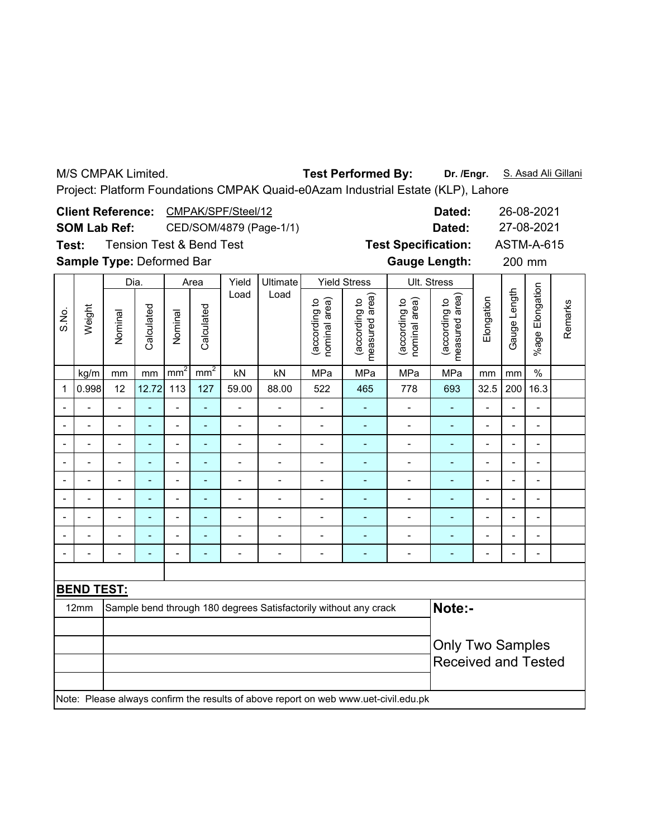M/S CMPAK Limited.

### Test Performed By: Dr. /Engr. S. Asad Ali Gillani

Project: Platform Foundations CMPAK Quaid-e0Azam Industrial Estate (KLP), Lahore

|              |                   | <b>Client Reference:</b>  |                          |                          |                                     | CMPAK/SPF/Steel/12           |                          |                                |                                                                  |                                                                                     | Dated:<br>26-08-2021<br>Dated:     |                          |                                                       |                          |         |  |
|--------------|-------------------|---------------------------|--------------------------|--------------------------|-------------------------------------|------------------------------|--------------------------|--------------------------------|------------------------------------------------------------------|-------------------------------------------------------------------------------------|------------------------------------|--------------------------|-------------------------------------------------------|--------------------------|---------|--|
|              |                   | <b>SOM Lab Ref:</b>       |                          |                          | CED/SOM/4879 (Page-1/1)             |                              |                          |                                |                                                                  |                                                                                     |                                    |                          |                                                       | 27-08-2021               |         |  |
| Test:        |                   |                           |                          |                          | <b>Tension Test &amp; Bend Test</b> |                              |                          |                                |                                                                  | <b>Test Specification:</b>                                                          |                                    |                          |                                                       | <b>ASTM-A-615</b>        |         |  |
|              |                   | Sample Type: Deformed Bar |                          |                          |                                     |                              |                          |                                |                                                                  | <b>Gauge Length:</b>                                                                |                                    |                          | 200 mm                                                |                          |         |  |
|              |                   | Dia.                      |                          |                          | Area                                | Yield                        | Ultimate                 |                                | <b>Yield Stress</b>                                              |                                                                                     | Ult. Stress                        |                          |                                                       |                          |         |  |
| S.No.        | Weight            | Nominal                   | Calculated               | Nominal                  | Calculated                          | Load                         | Load                     | (according to<br>nominal area) | measured area)<br>(according to                                  | nominal area)<br>(according to                                                      | area)<br>(according to<br>measured | Elongation               | Gauge Length                                          | Elongation<br>$%$ age I  | Remarks |  |
|              | kg/m              | mm                        | mm                       | mm <sup>2</sup>          | mm <sup>2</sup>                     | kN                           | kN                       | MPa                            | MPa                                                              | MPa                                                                                 | MPa                                | mm                       | mm                                                    | $\%$                     |         |  |
| $\mathbf{1}$ | 0.998             | 12                        | 12.72                    | 113                      | 127                                 | 59.00                        | 88.00                    | 522                            | 465                                                              | 778                                                                                 | 693                                | 32.5                     | 200                                                   | 16.3                     |         |  |
|              |                   | $\blacksquare$            | L,                       | $\overline{a}$           | L,                                  | $\overline{a}$               | $\overline{\phantom{0}}$ | $\frac{1}{2}$                  | $\blacksquare$                                                   | $\overline{\phantom{a}}$                                                            | ÷,                                 | $\overline{a}$           | $\overline{a}$                                        | $\overline{a}$           |         |  |
|              |                   | $\overline{a}$            | L,                       | $\overline{a}$           | $\blacksquare$                      | $\blacksquare$               | $\overline{\phantom{0}}$ | $\overline{a}$                 | ٠                                                                | $\overline{a}$                                                                      | ÷,                                 | -                        | $\blacksquare$                                        | $\overline{a}$           |         |  |
|              |                   | $\overline{\phantom{0}}$  | $\overline{\phantom{0}}$ | $\overline{a}$           | ÷,                                  | $\blacksquare$               | $\overline{\phantom{0}}$ | $\overline{a}$                 | $\blacksquare$                                                   | $\blacksquare$                                                                      | ۰                                  | $\overline{\phantom{0}}$ | $\overline{a}$                                        | $\overline{a}$           |         |  |
|              | $\blacksquare$    | $\overline{\phantom{a}}$  | $\overline{\phantom{a}}$ | $\overline{\phantom{0}}$ | $\qquad \qquad \blacksquare$        | $\qquad \qquad \blacksquare$ | $\overline{\phantom{a}}$ | $\overline{\phantom{m}}$       | ٠                                                                | $\qquad \qquad \blacksquare$                                                        | ۰                                  | $\overline{\phantom{0}}$ | ٠                                                     | $\overline{\phantom{0}}$ |         |  |
|              |                   | $\overline{a}$            | ÷                        | $\blacksquare$           | $\blacksquare$                      | $\blacksquare$               | $\blacksquare$           | $\overline{a}$                 | ÷                                                                | $\blacksquare$                                                                      | ÷,                                 | $\blacksquare$           | $\overline{a}$                                        | $\overline{a}$           |         |  |
|              |                   | $\blacksquare$            |                          |                          |                                     | $\overline{\phantom{a}}$     | $\overline{\phantom{0}}$ | $\overline{a}$                 | $\blacksquare$                                                   | $\overline{a}$                                                                      | ÷                                  |                          |                                                       | $\blacksquare$           |         |  |
|              | L,                | $\overline{\phantom{0}}$  | $\blacksquare$           | $\overline{a}$           | L,                                  | $\overline{a}$               | $\overline{\phantom{0}}$ | $\overline{a}$                 | ٠                                                                | $\overline{a}$                                                                      | ÷,                                 | $\overline{\phantom{0}}$ | J.                                                    | $\overline{a}$           |         |  |
|              |                   | $\overline{a}$            |                          | $\overline{a}$           | L,                                  | $\blacksquare$               | $\overline{\phantom{0}}$ | Ĭ.                             | $\qquad \qquad \blacksquare$                                     | $\overline{a}$                                                                      | ÷,                                 | $\overline{a}$           |                                                       | $\overline{a}$           |         |  |
|              |                   |                           | ÷                        |                          |                                     |                              |                          |                                |                                                                  |                                                                                     | ÷,                                 |                          |                                                       | $\overline{a}$           |         |  |
|              |                   |                           |                          |                          |                                     |                              |                          |                                |                                                                  |                                                                                     |                                    |                          |                                                       |                          |         |  |
|              | <b>BEND TEST:</b> |                           |                          |                          |                                     |                              |                          |                                |                                                                  |                                                                                     |                                    |                          |                                                       |                          |         |  |
|              | 12mm              |                           |                          |                          |                                     |                              |                          |                                | Sample bend through 180 degrees Satisfactorily without any crack |                                                                                     | Note:-                             |                          |                                                       |                          |         |  |
|              |                   |                           |                          |                          |                                     |                              |                          |                                |                                                                  |                                                                                     |                                    |                          |                                                       |                          |         |  |
|              |                   |                           |                          |                          |                                     |                              |                          |                                |                                                                  |                                                                                     |                                    |                          | <b>Only Two Samples</b><br><b>Received and Tested</b> |                          |         |  |
|              |                   |                           |                          |                          |                                     |                              |                          |                                |                                                                  | Note: Please always confirm the results of above report on web www.uet-civil.edu.pk |                                    |                          |                                                       |                          |         |  |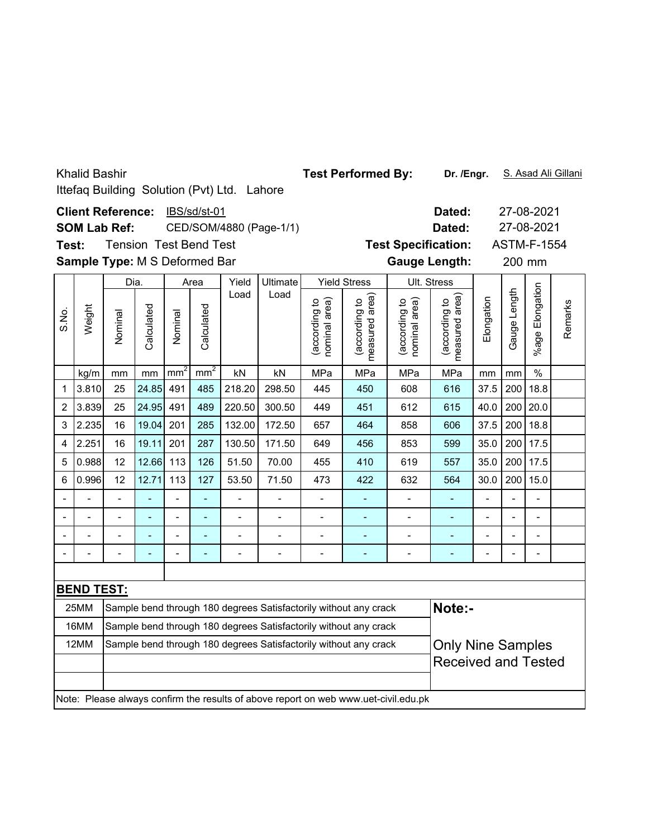|       | <b>Khalid Bashir</b>                                                                                              |                                                                                              |                  |                 |                 | Ittefaq Building Solution (Pvt) Ltd. Lahore    | <b>Test Performed By:</b> | Dr. /Engr.                     |                                                                  |                                                                                     |                                 | S. Asad Ali Gillani      |                |                          |         |
|-------|-------------------------------------------------------------------------------------------------------------------|----------------------------------------------------------------------------------------------|------------------|-----------------|-----------------|------------------------------------------------|---------------------------|--------------------------------|------------------------------------------------------------------|-------------------------------------------------------------------------------------|---------------------------------|--------------------------|----------------|--------------------------|---------|
| Test: | <b>Client Reference:</b><br><b>SOM Lab Ref:</b><br><b>Tension Test Bend Test</b><br>Sample Type: M S Deformed Bar | <b>Test Specification:</b><br><b>Gauge Length:</b>                                           | Dated:<br>Dated: |                 | 200 mm          | 27-08-2021<br>27-08-2021<br><b>ASTM-F-1554</b> |                           |                                |                                                                  |                                                                                     |                                 |                          |                |                          |         |
|       |                                                                                                                   | Dia.                                                                                         |                  |                 | Area            | Yield                                          |                           | Ult. Stress                    |                                                                  |                                                                                     |                                 |                          |                |                          |         |
| S.No. | Weight                                                                                                            | Nominal                                                                                      | Calculated       | Nominal         | Calculated      | Load                                           | Ultimate<br>Load          | (according to<br>nominal area) | <b>Yield Stress</b><br>area)<br>(according to<br>measured        | nominal area)<br>(according to                                                      | measured area)<br>(according to | Elongation               | Gauge Length   | %age Elongation          | Remarks |
|       | kg/m                                                                                                              | mm                                                                                           | mm               | mm <sup>2</sup> | mm <sup>2</sup> | kN                                             | kN                        | MPa                            | MPa                                                              | MPa                                                                                 | MPa                             | mm                       | mm             | $\frac{0}{0}$            |         |
| 1     | 3.810                                                                                                             | 25                                                                                           | 24.85            | 491             | 485             | 218.20                                         | 298.50                    | 445                            | 450                                                              | 608                                                                                 | 616                             | 37.5                     | 200            | 18.8                     |         |
| 2     | 3.839                                                                                                             | 25                                                                                           | 24.95            | 491             | 489             | 220.50                                         | 300.50                    | 449                            | 451                                                              | 612                                                                                 | 615                             | 40.0                     | 200            | 20.0                     |         |
| 3     | 2.235                                                                                                             | 16                                                                                           | 19.04            | 201             | 285             | 132.00                                         | 172.50                    | 657                            | 464                                                              | 858                                                                                 | 606                             | 37.5                     | 200            | 18.8                     |         |
| 4     | 2.251                                                                                                             | 16                                                                                           | 19.11            | 201             | 287             | 130.50                                         | 171.50                    | 649                            | 456                                                              | 853                                                                                 | 599                             | 35.0                     | 200            | 17.5                     |         |
| 5     | 0.988                                                                                                             | 12                                                                                           | 12.66            | 113             | 126             | 51.50                                          | 70.00                     | 455                            | 410                                                              | 619                                                                                 | 557                             | 35.0                     | 200            | 17.5                     |         |
| 6     | 0.996                                                                                                             | 12                                                                                           | 12.71            | 113             | 127             | 53.50                                          | 71.50                     | 473                            | 422                                                              | 632                                                                                 | 564                             | 30.0                     | 200            | 15.0                     |         |
|       |                                                                                                                   |                                                                                              |                  |                 |                 |                                                |                           |                                |                                                                  |                                                                                     |                                 |                          |                | $\overline{a}$           |         |
|       |                                                                                                                   | $\overline{\phantom{0}}$                                                                     |                  |                 | ä,              | $\overline{a}$                                 | $\overline{\phantom{0}}$  | $\overline{a}$                 | ä,                                                               | $\overline{a}$                                                                      | ÷,                              | $\overline{a}$           |                | L,                       |         |
|       |                                                                                                                   | $\overline{a}$                                                                               | ÷                | $\overline{a}$  | ÷,              | $\overline{a}$                                 | $\overline{a}$            | $\overline{a}$                 | ÷,                                                               | $\overline{\phantom{0}}$                                                            | $\blacksquare$                  | $\overline{\phantom{0}}$ | $\overline{a}$ | $\blacksquare$           |         |
|       |                                                                                                                   | $\overline{a}$                                                                               |                  | $\overline{a}$  | L,              | $\overline{a}$                                 |                           | $\overline{a}$                 |                                                                  |                                                                                     |                                 |                          |                | $\overline{\phantom{0}}$ |         |
|       |                                                                                                                   |                                                                                              |                  |                 |                 |                                                |                           |                                |                                                                  |                                                                                     |                                 |                          |                |                          |         |
|       | <b>BEND TEST:</b>                                                                                                 |                                                                                              |                  |                 |                 |                                                |                           |                                |                                                                  |                                                                                     |                                 |                          |                |                          |         |
|       | 25MM                                                                                                              |                                                                                              |                  |                 |                 |                                                |                           |                                | Sample bend through 180 degrees Satisfactorily without any crack |                                                                                     | Note:-                          |                          |                |                          |         |
|       | 16MM                                                                                                              |                                                                                              |                  |                 |                 |                                                |                           |                                | Sample bend through 180 degrees Satisfactorily without any crack |                                                                                     |                                 |                          |                |                          |         |
|       | 12MM                                                                                                              | Sample bend through 180 degrees Satisfactorily without any crack<br><b>Only Nine Samples</b> |                  |                 |                 |                                                |                           |                                |                                                                  |                                                                                     |                                 |                          |                |                          |         |
|       |                                                                                                                   | <b>Received and Tested</b>                                                                   |                  |                 |                 |                                                |                           |                                |                                                                  |                                                                                     |                                 |                          |                |                          |         |
|       |                                                                                                                   |                                                                                              |                  |                 |                 |                                                |                           |                                |                                                                  | Note: Please always confirm the results of above report on web www.uet-civil.edu.pk |                                 |                          |                |                          |         |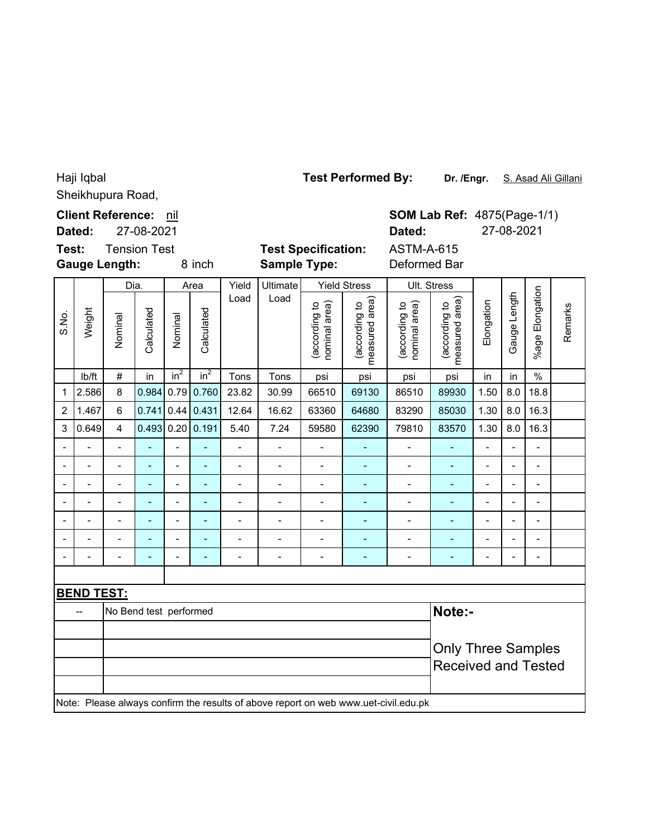Sheikhupura Road, Haji Iqbal

|                              | Dated:                       | <b>Client Reference:</b> | 27-08-2021               | nil            |                 |                              |                     |                                |                                 | Dated:                                                                              |                                 | <b>SOM Lab Ref: 4875(Page-1/1)</b><br>27-08-2021        |                          |                          |         |  |  |
|------------------------------|------------------------------|--------------------------|--------------------------|----------------|-----------------|------------------------------|---------------------|--------------------------------|---------------------------------|-------------------------------------------------------------------------------------|---------------------------------|---------------------------------------------------------|--------------------------|--------------------------|---------|--|--|
| Test:                        |                              | <b>Gauge Length:</b>     | <b>Tension Test</b>      |                | 8 inch          |                              | <b>Sample Type:</b> | <b>Test Specification:</b>     |                                 | <b>ASTM-A-615</b><br>Deformed Bar                                                   |                                 |                                                         |                          |                          |         |  |  |
|                              |                              |                          | Dia.                     |                | Area            | Yield                        | Ultimate            |                                | <b>Yield Stress</b>             | Ult. Stress                                                                         |                                 |                                                         |                          |                          |         |  |  |
| S.No.                        | Weight                       | Nominal                  | Calculated               | Nominal        | Calculated      | Load                         | Load                | (according to<br>nominal area) | measured area)<br>(according to | (according to<br>nominal area)                                                      | measured area)<br>(according to | Elongation                                              | Gauge Length             | %age Elongation          | Remarks |  |  |
|                              | lb/ft                        | $\#$                     | in                       | $in^2$         | in <sup>2</sup> | Tons                         | Tons                | psi                            | psi                             | psi                                                                                 | psi                             | in                                                      | in                       | $\frac{0}{0}$            |         |  |  |
| 1                            | 2.586                        | $\bf 8$                  | 0.984                    | 0.79           | 0.760           | 23.82                        | 30.99               | 66510                          | 69130                           | 86510                                                                               | 89930                           | 1.50                                                    | 8.0                      | 18.8                     |         |  |  |
| $\overline{c}$               | 1.467                        | $6\phantom{a}$           | 0.741                    |                | 0.44 0.431      | 12.64                        | 16.62               | 63360                          | 64680                           | 83290                                                                               | 85030                           | 1.30                                                    | 8.0                      | 16.3                     |         |  |  |
| 3                            | 0.649                        | $\overline{4}$           | 0.493                    |                | 0.20   0.191    | 5.40                         | 7.24                | 59580                          | 62390                           | 79810                                                                               | 83570                           | 1.30                                                    | 8.0                      | 16.3                     |         |  |  |
| $\overline{\phantom{0}}$     |                              |                          |                          | $\overline{a}$ | $\overline{a}$  | $\overline{a}$               |                     |                                | $\overline{\phantom{0}}$        | $\blacksquare$                                                                      | $\overline{\phantom{a}}$        |                                                         | $\overline{\phantom{a}}$ |                          |         |  |  |
| $\qquad \qquad \blacksquare$ | $\qquad \qquad \blacksquare$ | $\overline{\phantom{0}}$ | $\overline{\phantom{a}}$ | -              | ٠               | $\qquad \qquad \blacksquare$ | $\overline{a}$      | $\qquad \qquad \blacksquare$   | ٠                               | $\qquad \qquad \blacksquare$                                                        | ۰                               | $\qquad \qquad \blacksquare$                            | $\blacksquare$           | $\overline{\phantom{a}}$ |         |  |  |
| $\overline{a}$               |                              |                          | ÷                        |                | L               |                              |                     | L.                             | $\overline{a}$                  | $\blacksquare$                                                                      | ÷,                              | $\overline{a}$                                          |                          | $\overline{a}$           |         |  |  |
| -                            | $\blacksquare$               | $\overline{a}$           | ÷                        | $\overline{a}$ | ÷,              | $\overline{\phantom{0}}$     | $\overline{a}$      | $\qquad \qquad \blacksquare$   | ٠                               | $\overline{\phantom{0}}$                                                            | ä,                              | $\overline{\phantom{a}}$                                |                          | $\overline{\phantom{a}}$ |         |  |  |
| $\overline{a}$               | $\overline{a}$               | $\overline{a}$           |                          | $\overline{a}$ | L,              | $\overline{a}$               | $\overline{a}$      | $\overline{a}$                 |                                 | $\overline{\phantom{0}}$                                                            | ÷,                              | $\overline{a}$                                          | $\overline{a}$           | $\overline{a}$           |         |  |  |
|                              | $\overline{a}$               |                          |                          | $\overline{a}$ | ÷,              |                              | $\overline{a}$      | $\overline{a}$                 | ÷,                              | $\overline{\phantom{0}}$                                                            | ÷,                              | $\overline{a}$                                          |                          | $\blacksquare$           |         |  |  |
|                              | $\overline{a}$               | $\overline{a}$           | ٠                        | $\overline{a}$ | L,              | $\qquad \qquad \blacksquare$ | $\overline{a}$      | $\overline{a}$                 | ٠                               | $\qquad \qquad \blacksquare$                                                        | -                               | $\overline{a}$                                          |                          | $\overline{\phantom{a}}$ |         |  |  |
|                              |                              |                          |                          |                |                 |                              |                     |                                |                                 |                                                                                     |                                 |                                                         |                          |                          |         |  |  |
|                              | <b>BEND TEST:</b>            |                          |                          |                |                 |                              |                     |                                |                                 |                                                                                     |                                 |                                                         |                          |                          |         |  |  |
|                              | --                           |                          | No Bend test performed   |                |                 |                              |                     |                                |                                 |                                                                                     | Note:-                          |                                                         |                          |                          |         |  |  |
|                              |                              |                          |                          |                |                 |                              |                     |                                |                                 |                                                                                     |                                 | <b>Only Three Samples</b><br><b>Received and Tested</b> |                          |                          |         |  |  |
|                              |                              |                          |                          |                |                 |                              |                     |                                |                                 | Note: Please always confirm the results of above report on web www.uet-civil.edu.pk |                                 |                                                         |                          |                          |         |  |  |

**Dr. /Engr.** S. Asad Ali Gillani **Test Performed By:**